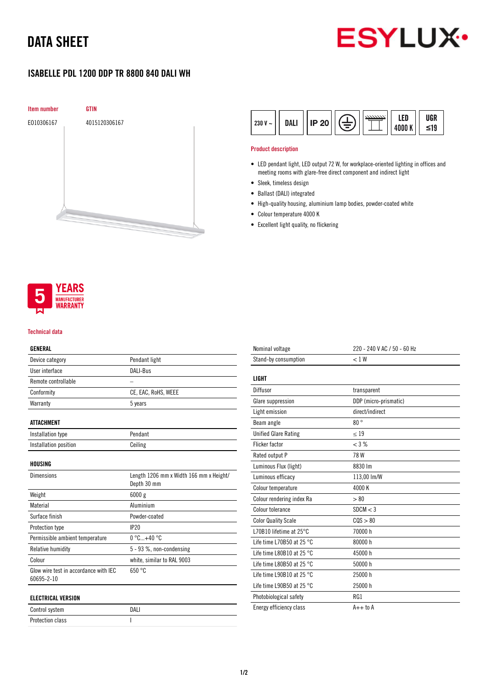## DATA SHEET



### ISABELLE PDL 1200 DDP TR 8800 840 DALI WH



| DAL.<br>IP 20<br>$230 V -$ |  | 4000 K | UGR<br>≤19 |
|----------------------------|--|--------|------------|
|----------------------------|--|--------|------------|

#### Product description

- LED pendant light, LED output 72 W, for workplace-oriented lighting in offices and meeting rooms with glare-free direct component and indirect light
- Sleek, timeless design
- Ballast (DALI) integrated
- High-quality housing, aluminium lamp bodies, powder-coated white
- Colour temperature 4000 K
- Excellent light quality, no flickering



#### Technical data

#### GENERAL

| Device category                                     | Pendant light                                          |
|-----------------------------------------------------|--------------------------------------------------------|
| User interface                                      | DALI-Bus                                               |
| Remote controllable                                 |                                                        |
| Conformity                                          | CE, EAC, RoHS, WEEE                                    |
| Warranty                                            | 5 years                                                |
|                                                     |                                                        |
| <b>ATTACHMENT</b>                                   |                                                        |
| Installation type                                   | Pendant                                                |
| Installation position                               | Ceiling                                                |
|                                                     |                                                        |
| HOUSING                                             |                                                        |
| <b>Dimensions</b>                                   | Length 1206 mm x Width 166 mm x Height/<br>Depth 30 mm |
| Weight                                              | 6000g                                                  |
| Material                                            | Aluminium                                              |
| Surface finish                                      | Powder-coated                                          |
| Protection type                                     | IP20                                                   |
| Permissible ambient temperature                     | $0^{\circ}$ C+40 $^{\circ}$ C                          |
| Relative humidity                                   | 5 - 93 %, non-condensing                               |
| Colour                                              | white, similar to RAL 9003                             |
| Glow wire test in accordance with IEC<br>60695-2-10 | 650 °C                                                 |
| <b>ELECTRICAL VERSION</b>                           |                                                        |
| Control system                                      | DALI                                                   |
| <b>Protection class</b>                             | ı                                                      |

| Nominal voltage                     | 220 - 240 V AC / 50 - 60 Hz |
|-------------------------------------|-----------------------------|
| Stand-by consumption                | $< 1$ W                     |
| LIGHT                               |                             |
| Diffusor                            | transparent                 |
| Glare suppression                   | DDP (micro-prismatic)       |
| Light emission                      | direct/indirect             |
| Beam angle                          | 80°                         |
| <b>Unified Glare Rating</b>         | < 19                        |
| Flicker factor                      | $<$ 3 %                     |
| Rated output P                      | 78W                         |
| Luminous Flux (light)               | 8830 lm                     |
| Luminous efficacy                   | 113,00 lm/W                 |
| Colour temperature                  | 4000 K                      |
| Colour rendering index Ra           | > 80                        |
| Colour tolerance                    | SDCM < 3                    |
| <b>Color Quality Scale</b>          | COS > 80                    |
| L70B10 lifetime at 25°C             | 70000 h                     |
| Life time L70B50 at 25 $^{\circ}$ C | 80000 h                     |
| Life time L80B10 at 25 $^{\circ}$ C | 45000 h                     |
| Life time L80B50 at 25 $^{\circ}$ C | 50000 h                     |
| Life time L90B10 at 25 $^{\circ}$ C | 25000 h                     |
| Life time L90B50 at 25 $^{\circ}$ C | 25000 h                     |
| Photobiological safety              | RG1                         |
| Energy efficiency class             | $A++$ to $A$                |
|                                     |                             |